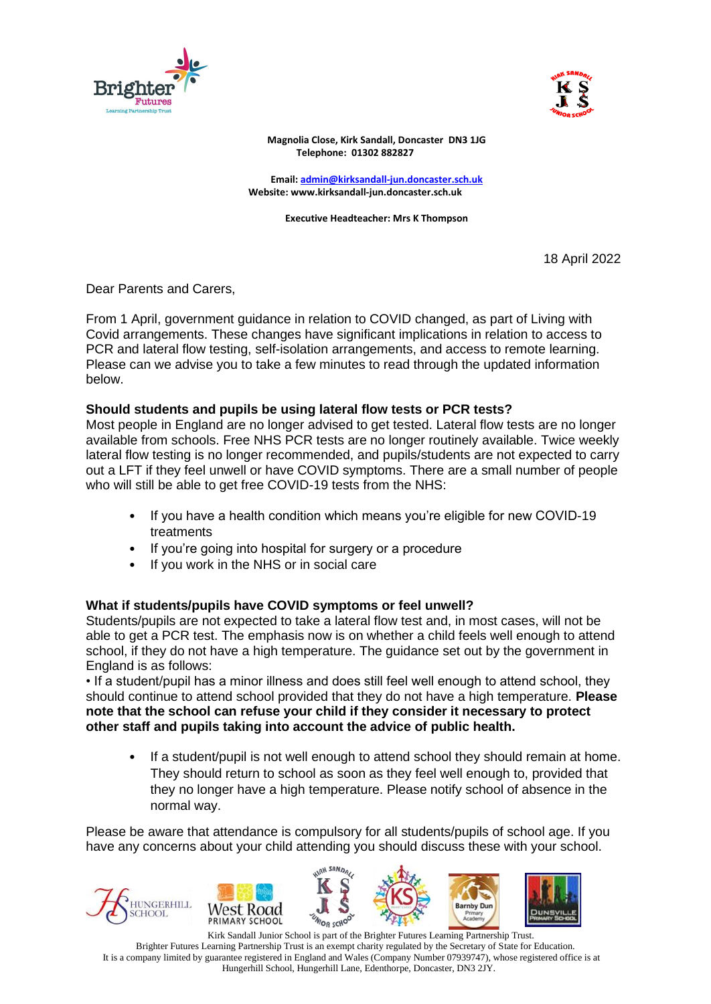



**Magnolia Close, Kirk Sandall, Doncaster DN3 1JG Telephone: 01302 882827**

**Email: [admin@kirksandall-jun.doncaster.sch.uk](mailto:admin@kirksandall-jun.doncaster.sch.uk) Website: www.kirksandall-jun.doncaster.sch.uk**

**Executive Headteacher: Mrs K Thompson**

18 April 2022

Dear Parents and Carers,

From 1 April, government guidance in relation to COVID changed, as part of Living with Covid arrangements. These changes have significant implications in relation to access to PCR and lateral flow testing, self-isolation arrangements, and access to remote learning. Please can we advise you to take a few minutes to read through the updated information below.

## **Should students and pupils be using lateral flow tests or PCR tests?**

Most people in England are no longer advised to get tested. Lateral flow tests are no longer available from schools. Free NHS PCR tests are no longer routinely available. Twice weekly lateral flow testing is no longer recommended, and pupils/students are not expected to carry out a LFT if they feel unwell or have COVID symptoms. There are a small number of people who will still be able to get free COVID-19 tests from the NHS:

- If you have a health condition which means you're eligible for new COVID-19 treatments
- If you're going into hospital for surgery or a procedure
- If you work in the NHS or in social care

### **What if students/pupils have COVID symptoms or feel unwell?**

Students/pupils are not expected to take a lateral flow test and, in most cases, will not be able to get a PCR test. The emphasis now is on whether a child feels well enough to attend school, if they do not have a high temperature. The guidance set out by the government in England is as follows:

• If a student/pupil has a minor illness and does still feel well enough to attend school, they should continue to attend school provided that they do not have a high temperature. **Please note that the school can refuse your child if they consider it necessary to protect other staff and pupils taking into account the advice of public health.**

• If a student/pupil is not well enough to attend school they should remain at home. They should return to school as soon as they feel well enough to, provided that they no longer have a high temperature. Please notify school of absence in the normal way.

Please be aware that attendance is compulsory for all students/pupils of school age. If you have any concerns about your child attending you should discuss these with your school.







**Barnby Du** 



 Kirk Sandall Junior School is part of the Brighter Futures Learning Partnership Trust. Brighter Futures Learning Partnership Trust is an exempt charity regulated by the Secretary of State for Education. It is a company limited by guarantee registered in England and Wales (Company Number 07939747), whose registered office is at Hungerhill School, Hungerhill Lane, Edenthorpe, Doncaster, DN3 2JY.

<sup>V</sup>on ccho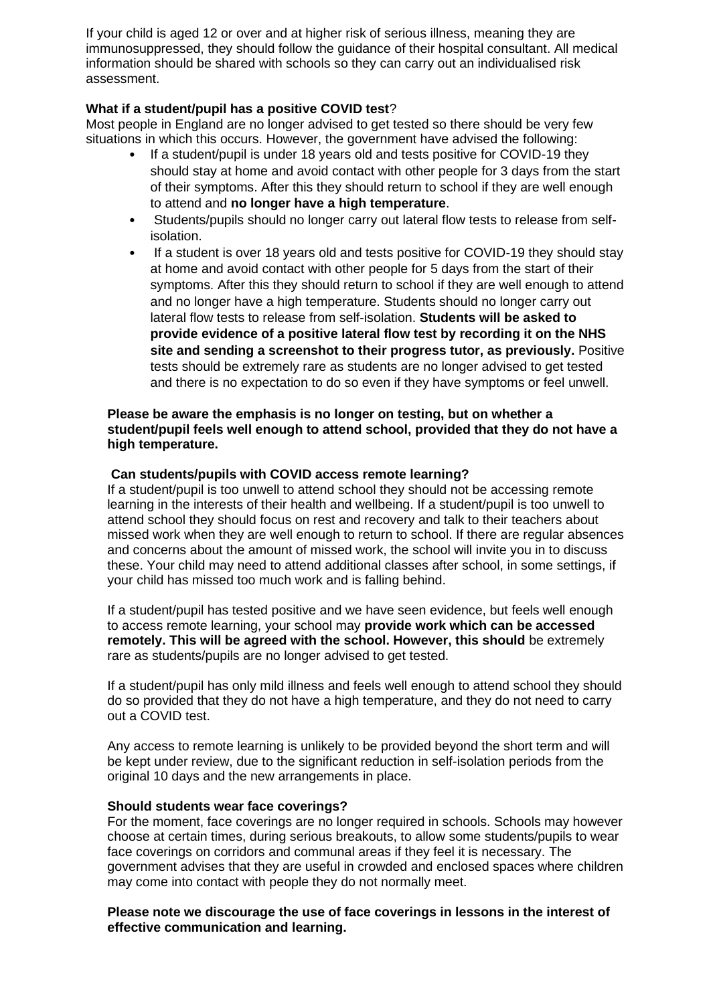If your child is aged 12 or over and at higher risk of serious illness, meaning they are immunosuppressed, they should follow the guidance of their hospital consultant. All medical information should be shared with schools so they can carry out an individualised risk assessment.

# **What if a student/pupil has a positive COVID test**?

Most people in England are no longer advised to get tested so there should be very few situations in which this occurs. However, the government have advised the following:

- If a student/pupil is under 18 years old and tests positive for COVID-19 they should stay at home and avoid contact with other people for 3 days from the start of their symptoms. After this they should return to school if they are well enough to attend and **no longer have a high temperature**.
- Students/pupils should no longer carry out lateral flow tests to release from selfisolation.
- If a student is over 18 years old and tests positive for COVID-19 they should stay at home and avoid contact with other people for 5 days from the start of their symptoms. After this they should return to school if they are well enough to attend and no longer have a high temperature. Students should no longer carry out lateral flow tests to release from self-isolation. **Students will be asked to provide evidence of a positive lateral flow test by recording it on the NHS site and sending a screenshot to their progress tutor, as previously.** Positive tests should be extremely rare as students are no longer advised to get tested and there is no expectation to do so even if they have symptoms or feel unwell.

# **Please be aware the emphasis is no longer on testing, but on whether a student/pupil feels well enough to attend school, provided that they do not have a high temperature.**

## **Can students/pupils with COVID access remote learning?**

If a student/pupil is too unwell to attend school they should not be accessing remote learning in the interests of their health and wellbeing. If a student/pupil is too unwell to attend school they should focus on rest and recovery and talk to their teachers about missed work when they are well enough to return to school. If there are regular absences and concerns about the amount of missed work, the school will invite you in to discuss these. Your child may need to attend additional classes after school, in some settings, if your child has missed too much work and is falling behind.

If a student/pupil has tested positive and we have seen evidence, but feels well enough to access remote learning, your school may **provide work which can be accessed remotely. This will be agreed with the school. However, this should** be extremely rare as students/pupils are no longer advised to get tested.

If a student/pupil has only mild illness and feels well enough to attend school they should do so provided that they do not have a high temperature, and they do not need to carry out a COVID test.

Any access to remote learning is unlikely to be provided beyond the short term and will be kept under review, due to the significant reduction in self-isolation periods from the original 10 days and the new arrangements in place.

### **Should students wear face coverings?**

For the moment, face coverings are no longer required in schools. Schools may however choose at certain times, during serious breakouts, to allow some students/pupils to wear face coverings on corridors and communal areas if they feel it is necessary. The government advises that they are useful in crowded and enclosed spaces where children may come into contact with people they do not normally meet.

### **Please note we discourage the use of face coverings in lessons in the interest of effective communication and learning.**